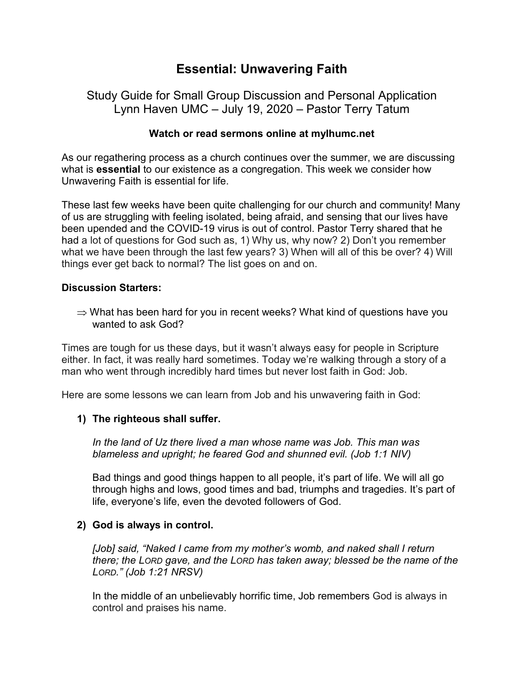# **Essential: Unwavering Faith**

# Study Guide for Small Group Discussion and Personal Application Lynn Haven UMC – July 19, 2020 – Pastor Terry Tatum

# **Watch or read sermons online at mylhumc.net**

As our regathering process as a church continues over the summer, we are discussing what is **essential** to our existence as a congregation. This week we consider how Unwavering Faith is essential for life.

These last few weeks have been quite challenging for our church and community! Many of us are struggling with feeling isolated, being afraid, and sensing that our lives have been upended and the COVID-19 virus is out of control. Pastor Terry shared that he had a lot of questions for God such as, 1) Why us, why now? 2) Don't you remember what we have been through the last few years? 3) When will all of this be over? 4) Will things ever get back to normal? The list goes on and on.

# **Discussion Starters:**

 $\Rightarrow$  What has been hard for you in recent weeks? What kind of questions have you wanted to ask God?

Times are tough for us these days, but it wasn't always easy for people in Scripture either. In fact, it was really hard sometimes. Today we're walking through a story of a man who went through incredibly hard times but never lost faith in God: Job.

Here are some lessons we can learn from Job and his unwavering faith in God:

# **1) The righteous shall suffer.**

*In the land of Uz there lived a man whose name was Job. This man was blameless and upright; he feared God and shunned evil. (Job 1:1 NIV)*

Bad things and good things happen to all people, it's part of life. We will all go through highs and lows, good times and bad, triumphs and tragedies. It's part of life, everyone's life, even the devoted followers of God.

# **2) God is always in control.**

*[Job] said, "Naked I came from my mother's womb, and naked shall I return there; the LORD gave, and the LORD has taken away; blessed be the name of the LORD." (Job 1:21 NRSV)*

In the middle of an unbelievably horrific time, Job remembers God is always in control and praises his name.